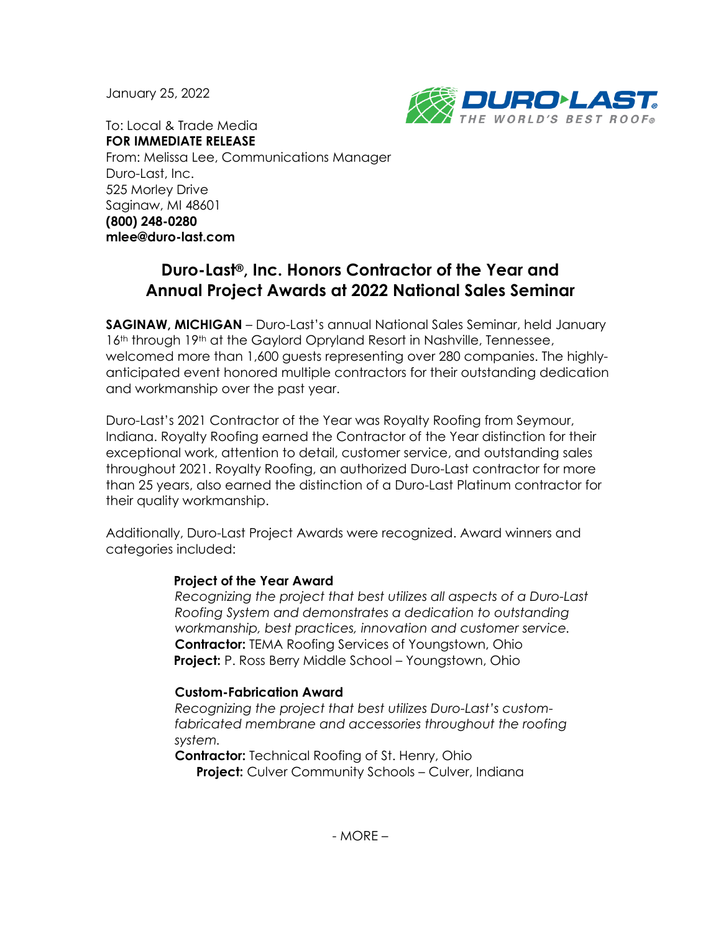January 25, 2022



To: Local & Trade Media **FOR IMMEDIATE RELEASE** From: Melissa Lee, Communications Manager Duro-Last, Inc. 525 Morley Drive Saginaw, MI 48601 **(800) 248-0280 mlee@duro-last.com**

# **Duro-Last®, Inc. Honors Contractor of the Year and Annual Project Awards at 2022 National Sales Seminar**

**SAGINAW, MICHIGAN** – Duro-Last's annual National Sales Seminar, held January 16<sup>th</sup> through 19<sup>th</sup> at the Gaylord Opryland Resort in Nashville, Tennessee, welcomed more than 1,600 guests representing over 280 companies. The highlyanticipated event honored multiple contractors for their outstanding dedication and workmanship over the past year.

Duro-Last's 2021 Contractor of the Year was Royalty Roofing from Seymour, Indiana. Royalty Roofing earned the Contractor of the Year distinction for their exceptional work, attention to detail, customer service, and outstanding sales throughout 2021. Royalty Roofing, an authorized Duro-Last contractor for more than 25 years, also earned the distinction of a Duro-Last Platinum contractor for their quality workmanship.

Additionally, Duro-Last Project Awards were recognized. Award winners and categories included:

#### **Project of the Year Award**

*Recognizing the project that best utilizes all aspects of a Duro-Last Roofing System and demonstrates a dedication to outstanding workmanship, best practices, innovation and customer service.* **Contractor:** TEMA Roofing Services of Youngstown, Ohio **Project:** P. Ross Berry Middle School – Youngstown, Ohio

#### **Custom-Fabrication Award**

*Recognizing the project that best utilizes Duro-Last's customfabricated membrane and accessories throughout the roofing system.*

**Contractor:** Technical Roofing of St. Henry, Ohio **Project:** Culver Community Schools – Culver, Indiana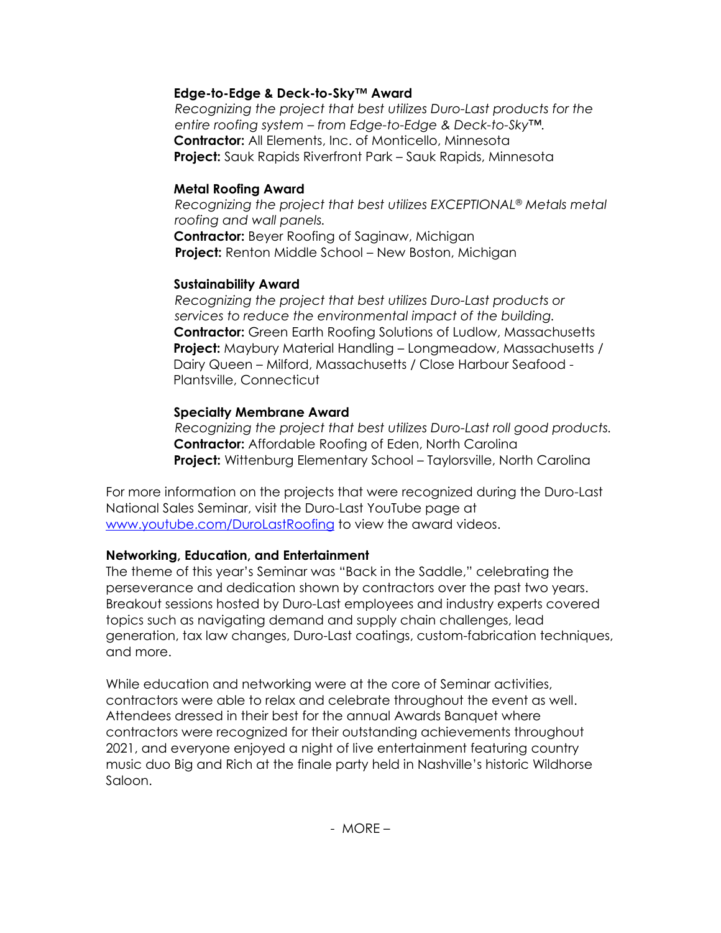## **Edge-to-Edge & Deck-to-Sky™ Award**

*Recognizing the project that best utilizes Duro-Last products for the entire roofing system – from Edge-to-Edge & Deck-to-Sky™.* **Contractor:** All Elements, Inc. of Monticello, Minnesota **Project:** Sauk Rapids Riverfront Park – Sauk Rapids, Minnesota

#### **Metal Roofing Award**

*Recognizing the project that best utilizes EXCEPTIONAL® Metals metal roofing and wall panels.* **Contractor:** Beyer Roofing of Saginaw, Michigan **Project:** Renton Middle School – New Boston, Michigan

## **Sustainability Award**

*Recognizing the project that best utilizes Duro-Last products or services to reduce the environmental impact of the building.* **Contractor:** Green Earth Roofing Solutions of Ludlow, Massachusetts **Project:** Maybury Material Handling – Longmeadow, Massachusetts / Dairy Queen – Milford, Massachusetts / Close Harbour Seafood - Plantsville, Connecticut

### **Specialty Membrane Award**

*Recognizing the project that best utilizes Duro-Last roll good products.*  **Contractor:** Affordable Roofing of Eden, North Carolina **Project:** Wittenburg Elementary School – Taylorsville, North Carolina

For more information on the projects that were recognized during the Duro-Last National Sales Seminar, visit the Duro-Last YouTube page at [www.youtube.com/DuroLastRoofing](http://www.youtube.com/DuroLastRoofing) to view the award videos.

## **Networking, Education, and Entertainment**

The theme of this year's Seminar was "Back in the Saddle," celebrating the perseverance and dedication shown by contractors over the past two years. Breakout sessions hosted by Duro-Last employees and industry experts covered topics such as navigating demand and supply chain challenges, lead generation, tax law changes, Duro-Last coatings, custom-fabrication techniques, and more.

While education and networking were at the core of Seminar activities, contractors were able to relax and celebrate throughout the event as well. Attendees dressed in their best for the annual Awards Banquet where contractors were recognized for their outstanding achievements throughout 2021, and everyone enjoyed a night of live entertainment featuring country music duo Big and Rich at the finale party held in Nashville's historic Wildhorse Saloon.